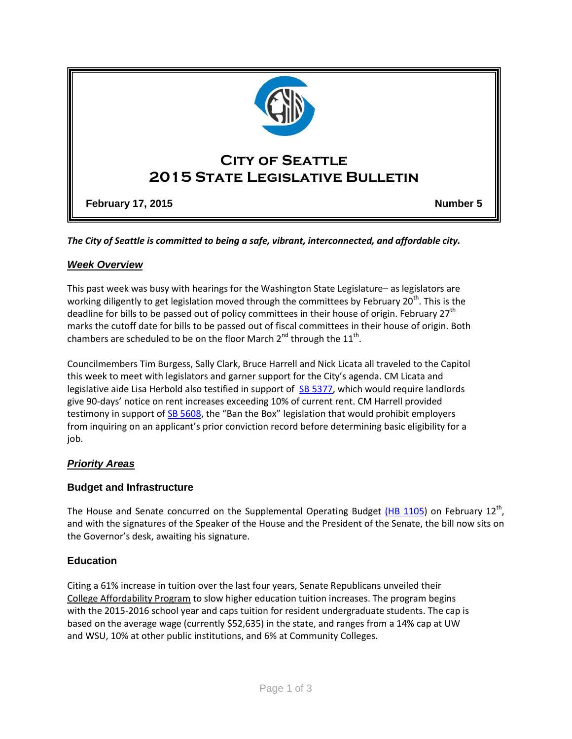

*The City of Seattle is committed to being a safe, vibrant, interconnected, and affordable city.* 

# *Week Overview*

This past week was busy with hearings for the Washington State Legislature– as legislators are working diligently to get legislation moved through the committees by February 20<sup>th</sup>. This is the deadline for bills to be passed out of policy committees in their house of origin. February 27<sup>th</sup> marks the cutoff date for bills to be passed out of fiscal committees in their house of origin. Both chambers are scheduled to be on the floor March 2<sup>nd</sup> through the 11<sup>th</sup>.

Councilmembers Tim Burgess, Sally Clark, Bruce Harrell and Nick Licata all traveled to the Capitol this week to meet with legislators and garner support for the City's agenda. CM Licata and legislative aide Lisa Herbold also testified in support of SB [5377,](http://app.leg.wa.gov/billinfo/summary.aspx?bill=5377&year=2015) which would require landlords give 90-days' notice on rent increases exceeding 10% of current rent. CM Harrell provided testimony in support o[f SB 5608](http://app.leg.wa.gov/billinfo/summary.aspx?bill=5608&year=2015), the "Ban the Box" legislation that would prohibit employers from inquiring on an applicant's prior conviction record before determining basic eligibility for a job.

# *Priority Areas*

# **Budget and Infrastructure**

The House and Senate concurred on the Supplemental Operating Budget [\(HB 1105\)](http://app.leg.wa.gov/billinfo/summary.aspx?bill=1105&year=2015) on February 12<sup>th</sup>, and with the signatures of the Speaker of the House and the President of the Senate, the bill now sits on the Governor's desk, awaiting his signature.

# **Education**

Citing a 61% increase in tuition over the last four years, Senate Republicans unveiled their [College Affordability Program](http://barbarabailey.src.wastateleg.org/college-affordability-program/) to slow higher education tuition increases. The program begins with the 2015-2016 school year and caps tuition for resident undergraduate students. The cap is based on the average wage (currently \$52,635) in the state, and ranges from a 14% cap at UW and WSU, 10% at other public institutions, and 6% at Community Colleges.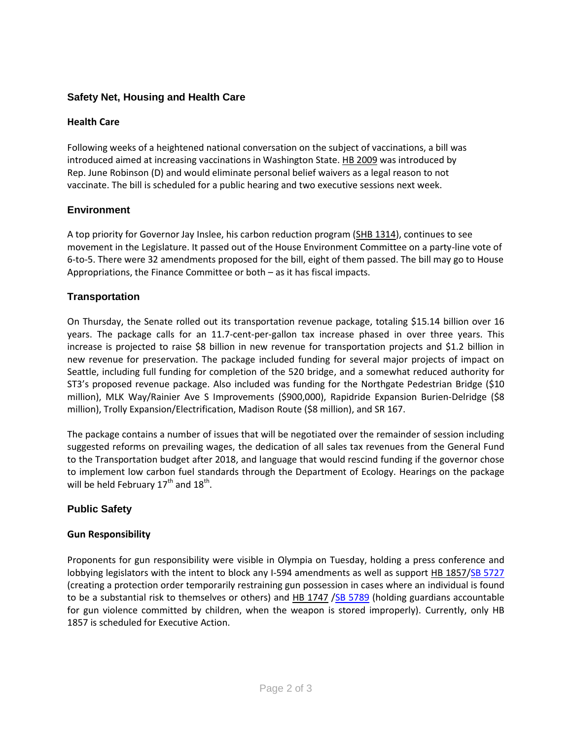# **Safety Net, Housing and Health Care**

#### **Health Care**

Following weeks of a heightened national conversation on the subject of vaccinations, a bill was introduced aimed at increasing vaccinations in Washington State. [HB 2009](http://app.leg.wa.gov/billinfo/summary.aspx?bill=2009&year=2015) was introduced by Rep. June Robinson (D) and would eliminate personal belief waivers as a legal reason to not vaccinate. The bill is scheduled for a public hearing and two executive sessions next week.

### **Environment**

A top priority for Governor Jay Inslee, his carbon reduction program [\(SHB 1314\)](http://app.leg.wa.gov/billinfo/summary.aspx?bill=1314&year=2015), continues to see movement in the Legislature. It passed out of the House Environment Committee on a party-line vote of 6-to-5. There were 32 amendments proposed for the bill, eight of them passed. The bill may go to House Appropriations, the Finance Committee or both – as it has fiscal impacts.

### **Transportation**

On Thursday, the Senate rolled out its transportation revenue package, totaling \$15.14 billion over 16 years. The package calls for an 11.7-cent-per-gallon tax increase phased in over three years. This increase is projected to raise \$8 billion in new revenue for transportation projects and \$1.2 billion in new revenue for preservation. The package included funding for several major projects of impact on Seattle, including full funding for completion of the 520 bridge, and a somewhat reduced authority for ST3's proposed revenue package. Also included was funding for the Northgate Pedestrian Bridge (\$10 million), MLK Way/Rainier Ave S Improvements (\$900,000), Rapidride Expansion Burien-Delridge (\$8 million), Trolly Expansion/Electrification, Madison Route (\$8 million), and SR 167.

The package contains a number of issues that will be negotiated over the remainder of session including suggested reforms on prevailing wages, the dedication of all sales tax revenues from the General Fund to the Transportation budget after 2018, and language that would rescind funding if the governor chose to implement low carbon fuel standards through the Department of Ecology. Hearings on the package will be held February 17<sup>th</sup> and 18<sup>th</sup>.

#### **Public Safety**

#### **Gun Responsibility**

Proponents for gun responsibility were visible in Olympia on Tuesday, holding a press conference and lobbying legislators with the intent to block any I-594 amendments as well as support [HB 1857/](http://app.leg.wa.gov/billinfo/summary.aspx?bill=1857&year=2015)SB 5727 (creating a protection order temporarily restraining gun possession in cases where an individual is found to be a substantial risk to themselves or others) and [HB 1747](http://app.leg.wa.gov/billinfo/summary.aspx?bill=1747&year=2015) [/SB 5789](http://app.leg.wa.gov/billinfo/summary.aspx?bill=5789&year=2015) (holding guardians accountable for gun violence committed by children, when the weapon is stored improperly). Currently, only HB 1857 is scheduled for Executive Action.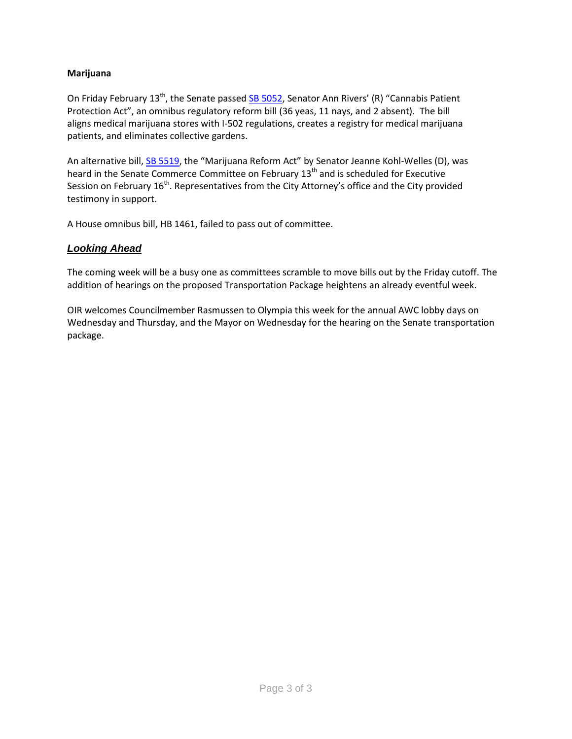#### **Marijuana**

On Friday February 13<sup>th</sup>, the Senate passe[d SB 5052](http://app.leg.wa.gov/billinfo/summary.aspx?bill=5052&year=2015), Senator Ann Rivers' (R) "Cannabis Patient Protection Act", an omnibus regulatory reform bill (36 yeas, 11 nays, and 2 absent). The bill aligns medical marijuana stores with I-502 regulations, creates a registry for medical marijuana patients, and eliminates collective gardens.

An alternative bill, [SB 5519](http://app.leg.wa.gov/DLR/billsummary/default.aspx?Bill=5519&year=2015), the "Marijuana Reform Act" by Senator Jeanne Kohl-Welles (D), was heard in the Senate Commerce Committee on February 13<sup>th</sup> and is scheduled for Executive Session on February 16<sup>th</sup>. Representatives from the City Attorney's office and the City provided testimony in support.

A House omnibus bill, HB 1461, failed to pass out of committee.

### *Looking Ahead*

The coming week will be a busy one as committees scramble to move bills out by the Friday cutoff. The addition of hearings on the proposed Transportation Package heightens an already eventful week.

OIR welcomes Councilmember Rasmussen to Olympia this week for the annual AWC lobby days on Wednesday and Thursday, and the Mayor on Wednesday for the hearing on the Senate transportation package.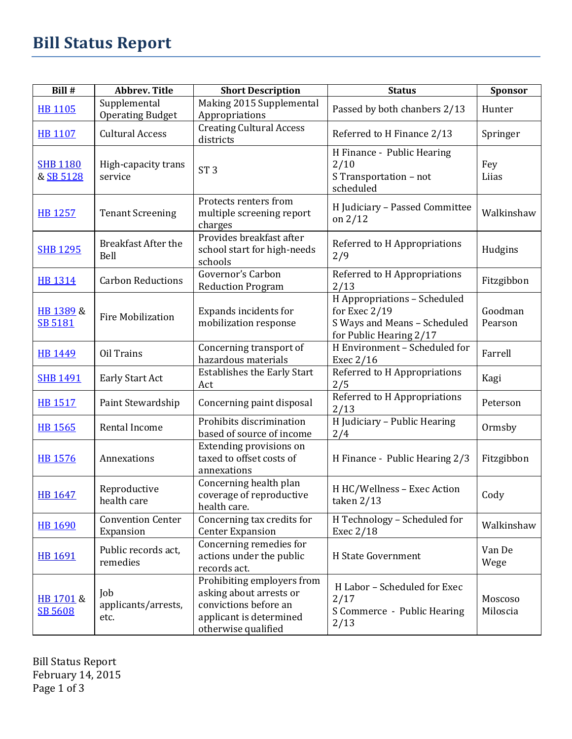| Bill #                       | <b>Abbrev. Title</b>                    | <b>Short Description</b>                                                                                                         | <b>Status</b>                                                                                            | <b>Sponsor</b>      |
|------------------------------|-----------------------------------------|----------------------------------------------------------------------------------------------------------------------------------|----------------------------------------------------------------------------------------------------------|---------------------|
| <b>HB 1105</b>               | Supplemental<br><b>Operating Budget</b> | Making 2015 Supplemental<br>Appropriations                                                                                       | Passed by both chanbers 2/13                                                                             | Hunter              |
| HB 1107                      | <b>Cultural Access</b>                  | <b>Creating Cultural Access</b><br>districts                                                                                     | Referred to H Finance 2/13                                                                               | Springer            |
| <b>SHB 1180</b><br>& SB 5128 | High-capacity trans<br>service          | ST <sub>3</sub>                                                                                                                  | H Finance - Public Hearing<br>2/10<br>S Transportation - not<br>scheduled                                | Fey<br>Liias        |
| <b>HB 1257</b>               | <b>Tenant Screening</b>                 | Protects renters from<br>multiple screening report<br>charges                                                                    | H Judiciary - Passed Committee<br>on $2/12$                                                              | Walkinshaw          |
| <b>SHB 1295</b>              | <b>Breakfast After the</b><br>Bell      | Provides breakfast after<br>school start for high-needs<br>schools                                                               | Referred to H Appropriations<br>2/9                                                                      | Hudgins             |
| <b>HB 1314</b>               | <b>Carbon Reductions</b>                | Governor's Carbon<br><b>Reduction Program</b>                                                                                    | Referred to H Appropriations<br>2/13                                                                     | Fitzgibbon          |
| HB 1389 &<br>SB 5181         | <b>Fire Mobilization</b>                | Expands incidents for<br>mobilization response                                                                                   | H Appropriations - Scheduled<br>for Exec 2/19<br>S Ways and Means - Scheduled<br>for Public Hearing 2/17 | Goodman<br>Pearson  |
| <b>HB 1449</b>               | Oil Trains                              | Concerning transport of<br>hazardous materials                                                                                   | H Environment - Scheduled for<br>Exec 2/16                                                               | Farrell             |
| <b>SHB 1491</b>              | Early Start Act                         | <b>Establishes the Early Start</b><br>Act                                                                                        | Referred to H Appropriations<br>2/5                                                                      | Kagi                |
| <b>HB 1517</b>               | Paint Stewardship                       | Concerning paint disposal                                                                                                        | Referred to H Appropriations<br>2/13                                                                     | Peterson            |
| <b>HB 1565</b>               | Rental Income                           | Prohibits discrimination<br>based of source of income                                                                            | H Judiciary - Public Hearing<br>2/4                                                                      | Ormsby              |
| <b>HB 1576</b>               | Annexations                             | Extending provisions on<br>taxed to offset costs of<br>annexations                                                               | H Finance - Public Hearing 2/3                                                                           | Fitzgibbon          |
| <b>HB 1647</b>               | Reproductive<br>health care             | Concerning health plan<br>coverage of reproductive<br>health care.                                                               | H HC/Wellness - Exec Action<br>taken 2/13                                                                | Cody                |
| <b>HB 1690</b>               | <b>Convention Center</b><br>Expansion   | Concerning tax credits for<br><b>Center Expansion</b>                                                                            | H Technology - Scheduled for<br>Exec 2/18                                                                | Walkinshaw          |
| HB 1691                      | Public records act,<br>remedies         | Concerning remedies for<br>actions under the public<br>records act.                                                              | <b>H</b> State Government                                                                                | Van De<br>Wege      |
| HB 1701 &<br>SB 5608         | Job<br>applicants/arrests,<br>etc.      | Prohibiting employers from<br>asking about arrests or<br>convictions before an<br>applicant is determined<br>otherwise qualified | H Labor - Scheduled for Exec<br>2/17<br>S Commerce - Public Hearing<br>2/13                              | Moscoso<br>Miloscia |

Bill Status Report February 14, 2015 Page 1 of 3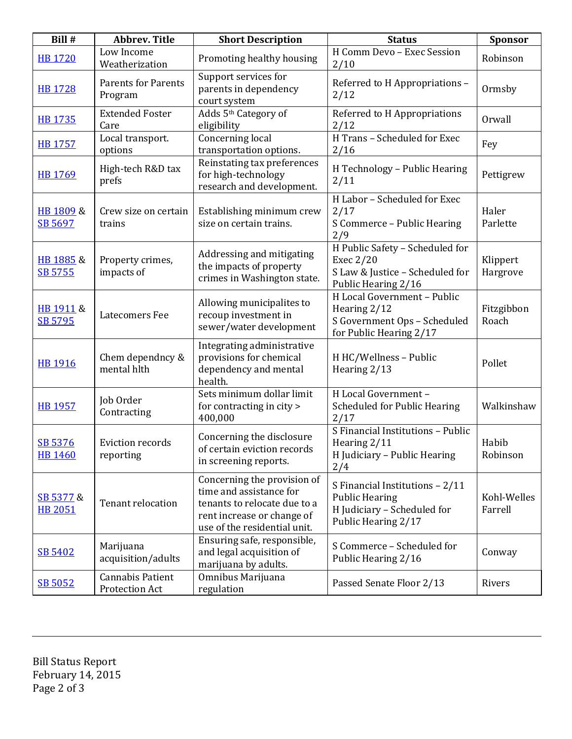| Bill #                      | <b>Abbrev. Title</b>                      | <b>Short Description</b>                                                                                                                             | <b>Status</b>                                                                                                  | <b>Sponsor</b>         |
|-----------------------------|-------------------------------------------|------------------------------------------------------------------------------------------------------------------------------------------------------|----------------------------------------------------------------------------------------------------------------|------------------------|
| <b>HB 1720</b>              | Low Income<br>Weatherization              | Promoting healthy housing                                                                                                                            | H Comm Devo - Exec Session<br>2/10                                                                             | Robinson               |
| <b>HB 1728</b>              | <b>Parents for Parents</b><br>Program     | Support services for<br>parents in dependency<br>court system                                                                                        | Referred to H Appropriations -<br>2/12                                                                         | Ormsby                 |
| <b>HB 1735</b>              | <b>Extended Foster</b><br>Care            | Adds 5 <sup>th</sup> Category of<br>eligibility                                                                                                      | Referred to H Appropriations<br>2/12                                                                           | Orwall                 |
| <b>HB 1757</b>              | Local transport.<br>options               | Concerning local<br>transportation options.                                                                                                          | H Trans - Scheduled for Exec<br>2/16                                                                           | Fey                    |
| <b>HB 1769</b>              | High-tech R&D tax<br>prefs                | Reinstating tax preferences<br>for high-technology<br>research and development.                                                                      | H Technology - Public Hearing<br>2/11                                                                          | Pettigrew              |
| HB 1809 &<br>SB 5697        | Crew size on certain<br>trains            | Establishing minimum crew<br>size on certain trains.                                                                                                 | H Labor - Scheduled for Exec<br>2/17<br>S Commerce - Public Hearing<br>2/9                                     | Haler<br>Parlette      |
| HB 1885 &<br>SB 5755        | Property crimes,<br>impacts of            | Addressing and mitigating<br>the impacts of property<br>crimes in Washington state.                                                                  | H Public Safety - Scheduled for<br>Exec 2/20<br>S Law & Justice - Scheduled for<br>Public Hearing 2/16         | Klippert<br>Hargrove   |
| HB 1911 &<br>SB 5795        | Latecomers Fee                            | Allowing municipalites to<br>recoup investment in<br>sewer/water development                                                                         | H Local Government - Public<br>Hearing 2/12<br>S Government Ops - Scheduled<br>for Public Hearing 2/17         | Fitzgibbon<br>Roach    |
| HB 1916                     | Chem dependncy &<br>mental hlth           | Integrating administrative<br>provisions for chemical<br>dependency and mental<br>health.                                                            | H HC/Wellness - Public<br>Hearing 2/13                                                                         | Pollet                 |
| <b>HB 1957</b>              | Job Order<br>Contracting                  | Sets minimum dollar limit<br>for contracting in city ><br>400,000                                                                                    | H Local Government -<br><b>Scheduled for Public Hearing</b><br>2/17                                            | Walkinshaw             |
| SB 5376<br><b>HB 1460</b>   | <b>Eviction records</b><br>reporting      | Concerning the disclosure<br>of certain eviction records<br>in screening reports.                                                                    | S Financial Institutions - Public<br>Hearing 2/11<br>H Judiciary - Public Hearing<br>2/4                       | Habib<br>Robinson      |
| SB 5377 &<br><b>HB 2051</b> | Tenant relocation                         | Concerning the provision of<br>time and assistance for<br>tenants to relocate due to a<br>rent increase or change of<br>use of the residential unit. | S Financial Institutions - 2/11<br><b>Public Hearing</b><br>H Judiciary - Scheduled for<br>Public Hearing 2/17 | Kohl-Welles<br>Farrell |
| SB 5402                     | Marijuana<br>acquisition/adults           | Ensuring safe, responsible,<br>and legal acquisition of<br>marijuana by adults.                                                                      | S Commerce - Scheduled for<br>Public Hearing 2/16                                                              | Conway                 |
| SB 5052                     | <b>Cannabis Patient</b><br>Protection Act | Omnibus Marijuana<br>regulation                                                                                                                      | Passed Senate Floor 2/13                                                                                       | Rivers                 |

Bill Status Report February 14, 2015 Page 2 of 3